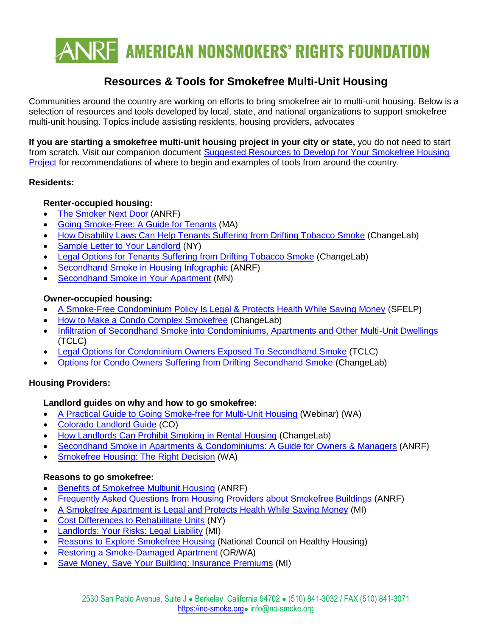# **ANRE AMERICAN NONSMOKERS' RIGHTS FOUNDATION**

# **Resources & Tools for Smokefree Multi-Unit Housing**

Communities around the country are working on efforts to bring smokefree air to multi-unit housing. Below is a selection of resources and tools developed by local, state, and national organizations to support smokefree multi-unit housing. Topics include assisting residents, housing providers, advocates

**If you are starting a smokefree multi-unit housing project in your city or state,** you do not need to start from scratch. Visit our companion document [Suggested Resources to Develop for Your Smokefree Housing](https://no-smoke.org/suggested-resources-develop-smokefree-housing-project/)  [Project](https://no-smoke.org/suggested-resources-develop-smokefree-housing-project/) for recommendations of where to begin and examples of tools from around the country.

#### **Residents:**

#### **Renter-occupied housing:**

- [The Smoker Next Door](http://www.no-smoke.org/pdf/smokernextdoor.pdf) (ANRF)
- [Going Smoke-Free: A Guide for Tenants](http://makesmokinghistory.org/wp-content/uploads/2014/06/tenant_guide.pdf) (MA)
- [How Disability Laws Can Help Tenants Suffering](http://changelabsolutions.org/publications/how-disability-laws-can-help-tenants-suffering-drifting-tobacco-smoke) from Drifting Tobacco Smoke (ChangeLab)
- [Sample Letter to Your Landlord](http://www.smokefreehousingny.org/wp-content/uploads/Sample-Landlord-Letter.pdf) (NY)
- [Legal Options for Tenants Suffering from Drifting Tobacco Smoke](http://changelabsolutions.org/publications/legal-options-tenants-suffering-drifting-tobacco-smoke) (ChangeLab)
- [Secondhand Smoke in Housing Infographic](https://no-smoke.org/wp-content/uploads/pdf/Secondhand-Smoke-in-Housing-Infographic-2018.pdf) (ANRF)
- [Secondhand Smoke in Your Apartment](http://www.mnsmokefreehousing.org/fckfiles/Simple%20tenant%20brochure%20english.pdf) (MN)

#### **Owner-occupied housing:**

- [A Smoke-Free Condominium Policy Is Legal & Protects Health While Saving Money](http://www.tcsg.org/sfelp/SFCondofacts.doc.pdf) (SFELP)
- [How to Make a Condo Complex Smokefree](http://changelabsolutions.org/publications/how-make-condo-complex-smokefree) (ChangeLab)
- [Infiltration of Secondhand Smoke into Condominiums, Apartments and Other Multi-Unit Dwellings](http://www.publichealthlawcenter.org/sites/default/files/resources/tclc-syn-condos-2004.pdf) (TCLC)
- [Legal Options for Condominium Owners Exposed To Secondhand Smoke](http://www.publichealthlawcenter.org/sites/default/files/resources/tclc-syn-condos-2006.pdf) (TCLC)
- [Options for Condo Owners Suffering from Drifting Secondhand Smoke](http://changelabsolutions.org/publications/options-condo-owners-suffering-drifting-secondhand-smoke) (ChangeLab)

#### **Housing Providers:**

#### **Landlord guides on why and how to go smokefree:**

- [A Practical Guide to Going Smoke-free for Multi-Unit Housing](http://www.smokefreewashington.com/apartments/share/webinar-info.php) (Webinar) (WA)
- [Colorado Landlord Guide](http://mysmokefreehousing.org/pdf/ColoradoLandlordGuide.pdf) (CO)
- [How Landlords Can Prohibit Smoking in Rental Housing](http://changelabsolutions.org/publications/how-landlords-can-prohibit-smoking-rental-housing) (ChangeLab)
- Secondhand Smoke in Apartments & [Condominiums: A Guide for Owners &](https://no-smoke.org/secondhand-smoke-apartments-condominiums/) Managers (ANRF)
- [Smokefree Housing: The Right Decision](https://www.kingcounty.gov/depts/health/smoking/tobacco-vapor/smoke-free-environments/housing/~/media/depts/health/tobacco-vapor/documents/smoke-free-housing-guide-the-right-decision.ashx) (WA)

#### **Reasons to go smokefree:**

- [Benefits of Smokefree Multiunit Housing](https://no-smoke.org/benefits-of-smokefree-buildings-fact-sheet/) (ANRF)
- [Frequently Asked Questions from Housing Providers about Smokefree Buildings](https://no-smoke.org/frequently-asked-questions-housing-providers-smokefree-buildings/) (ANRF)
- [A Smokefree Apartment is Legal and Protects Health While Saving Money](http://www.no-smoke.org/pdf/BenefitsSmokefreeBuildings.pdf) (MI)
- **[Cost Differences to Rehabilitate Units](http://www.smokefreehousingny.org/wp-content/uploads/Cost-Differences-to-Rehabilitiate-Units.pdf) (NY)**
- [Landlords: Your Risks: Legal Liability](http://www.mismokefreeapartment.org/l7risks.html) (MI)
- [Reasons to Explore Smokefree Housing](https://nchh.org/resource/fact-sheet_green-and-hh_reasons-to-explore-smoke-free-housing/) (National Council on Healthy Housing)
- [Restoring a Smoke-Damaged Apartment](http://www.smokefreehousingnw.org/pdf/Restoring%20a%20Smoke-Damaged%20apartment.pdf) (OR/WA)
- [Save Money, Save Your Building: Insurance Premiums](http://www.mismokefreeapartment.org/l14premiums.html) (MI)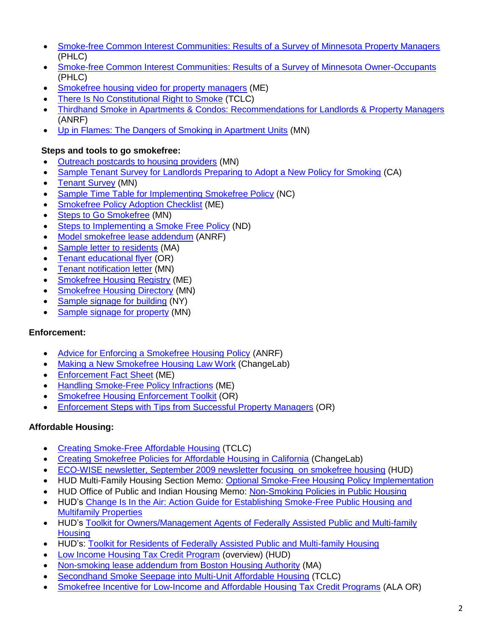- [Smoke-free Common Interest Communities: Results of a Survey of Minnesota Property Managers](http://www.publichealthlawcenter.org/sites/default/files/resources/phlc-fs-condomanagersurvey-summer2010.pdf) (PHLC)
- [Smoke-free Common Interest Communities: Results of a Survey of Minnesota Owner-Occupants](http://www.publichealthlawcenter.org/sites/default/files/resources/phlc-fs-condoownersurvey-summer2010.pdf) (PHLC)
- [Smokefree housing video](http://smokefreeforme.org/video/) for property managers (ME)
- [There Is No Constitutional Right to Smoke](http://www.publichealthlawcenter.org/sites/default/files/resources/tclc-syn-constitution-2008_0.pdf) (TCLC)
- [Thirdhand Smoke in Apartments & Condos: Recommendations for Landlords & Property Managers](https://no-smoke.org/thirdhand-smoke-fact-sheet/) (ANRF)
- [Up in Flames: The Dangers of Smoking in Apartment Units](http://www.mnsmokefreehousing.org/documents/Fire_fact_sheet.pdf) (MN)

#### **Steps and tools to go smokefree:**

- [Outreach postcards to housing providers](http://www.mnsmokefreehousing.org/documents/Sample_Postcard_Series.pdf) (MN)
- [Sample Tenant Survey for Landlords Preparing to Adopt a New Policy for Smoking](http://www.smokefreeapartments.org/Registry_Pix/Sample%20Tenant%20Survey.doc) (CA)
- [Tenant Survey](http://www.mnsmokefreehousing.org/documents/Tenant_Survey_for_Owners.pdf) (MN)
- [Sample Time Table for Implementing Smokefree Policy](file://///server-T330/word/FILES/MATERIAL/TIPSHEETS/•%09http:/smokefreehousingnc.com/docs/prepare-for-change/time-table-smokefree-policy-implem-final.pdf) (NC)
- [Smokefree Policy Adoption Checklist](http://www.smokefreeforme.org/sites/default/files/content/SFH%20Policy%20Guide.pdf) (ME)
- [Steps to Go Smokefree](http://www.mnsmokefreehousing.org/landlords/steps_smokefree.html) (MN)
- [Steps to Implementing a Smoke Free Policy](http://www.breathend.com/uploads/16/ImplementationSFHousingfinal.pdf) (ND)
- [Model smokefree lease addendum](https://no-smoke.org/model-smokefree-lease-addendum/) (ANRF)
- [Sample letter to residents](http://makesmokinghistory.org/wp-content/uploads/2014/06/letter_from_LL_to_residents.pdf) (MA)
- [Tenant educational flyer](http://www.smokefreehousinginfo.com/pdfs-docs/5Reasons.pdf) (OR)
- [Tenant notification letter](http://www.mnsmokefreehousing.org/documents/Tenant_notification_letter.pdf) (MN)
- [Smokefree Housing Registry](http://smokefreeforme.org/housing-registry/) (ME)
- [Smokefree Housing Directory](http://www.mnsmokefreehousing.org/landlords_directory.html) (MN)
- [Sample signage for building](http://www.smokefreehousingny.org/wp-content/uploads/PrintableSigns.pdf) (NY)
- [Sample signage for property](http://www.mnsmokefreehousing.org/landlords/links.html) (MN)

#### **Enforcement:**

- [Advice for Enforcing a Smokefree Housing Policy](https://no-smoke.org/advice-enforcing-smokefree-housing-policy/) (ANRF)
- [Making a New Smokefree Housing Law Work](http://changelabsolutions.org/publications/making-new-smokefree-housing-law-work) (ChangeLab)
- [Enforcement Fact Sheet](http://www.smokefreeforme.org/sites/default/files/content/Enforcement%20Fact%20Sheet%2007.07.pdf) (ME)
- [Handling Smoke-Free Policy Infractions](http://www.smokefreeforme.org/sites/default/files/content/Enforcement%20Recommendations%20SFHCoME%2009%2009.pdf) (ME)
- [Smokefree Housing Enforcement Toolkit](http://www.smokefreehousinginfo.com/pdfs-docs/EnforcementToolkit.pdf) (OR)
- [Enforcement Steps with Tips from Successful Property Managers](file://///server-T330/word/FILES/MATERIAL/TIPSHEETS/•%09http:/www.smokefreehousinginfo.com/pdfs-docs/EnforcementStepsWithTIPS.pdf) (OR)

#### **Affordable Housing:**

- [Creating Smoke-Free Affordable Housing](file://///server-T330/word/FILES/MATERIAL/TIPSHEETS/•%09http:/www.publichealthlawcenter.org/sites/default/files/resources/tclc-guide-creatingsmokefree-affordable-housing-2015.pdf) (TCLC)
- [Creating Smokefree Policies for Affordable Housing in California](http://changelabsolutions.org/publications/creating-smokefree-policies-affordable-housing-california) (ChangeLab)
- [ECO-WISE newsletter, September 2009 newsletter focusing on smokefree housing](http://www.hud.gov/offices/pih/programs/ph/phecc/newsletter/sept09.pdf) (HUD)
- HUD Multi-Family Housing Section Memo: [Optional Smoke-Free Housing Policy Implementation](http://portal.hud.gov/huddoc/12-22hsgn.pdf)
- HUD Office of Public and Indian Housing Memo: [Non-Smoking Policies in Public Housing](http://portal.hud.gov/huddoc/12-25pihn.pdf)
- HUD's [Change Is In the Air: Action Guide for Establishing Smoke-Free Public Housing and](http://portal.hud.gov/hudportal/documents/huddoc?id=SMOKEFREEACTIONGUIDE.PDF)  [Multifamily Properties](http://portal.hud.gov/hudportal/documents/huddoc?id=SMOKEFREEACTIONGUIDE.PDF)
- HUD's [Toolkit for Owners/Management Agents of Federally Assisted Public and Multi-family](http://portal.hud.gov/hudportal/documents/huddoc?id=smokefreeowners.pdf)  **[Housing](http://portal.hud.gov/hudportal/documents/huddoc?id=smokefreeowners.pdf)**
- HUD's: [Toolkit for Residents of Federally Assisted Public and Multi-family Housing](http://portal.hud.gov/hudportal/documents/huddoc?id=pdfresidents.pdf)
- [Low Income Housing Tax Credit Program](http://www.hud.gov/offices/cpd/affordablehousing/training/web/lihtc/basics/) (overview) (HUD)
- [Non-smoking lease addendum from Boston Housing Authority](http://www.bostonhousing.org/pdfs/Non-Smoking%20Lease%20Addendum.pdf) (MA)
- [Secondhand Smoke Seepage into Multi-Unit Affordable Housing](http://publichealthlawcenter.org/sites/default/files/resources/tclc-syn-secondhand-2010_0.pdf) (TCLC)
- [Smokefree Incentive for Low-Income and Affordable Housing Tax Credit Programs](http://www.alaskatca.org/workgroups/alaska-smokefree-housing-partnership) (ALA OR)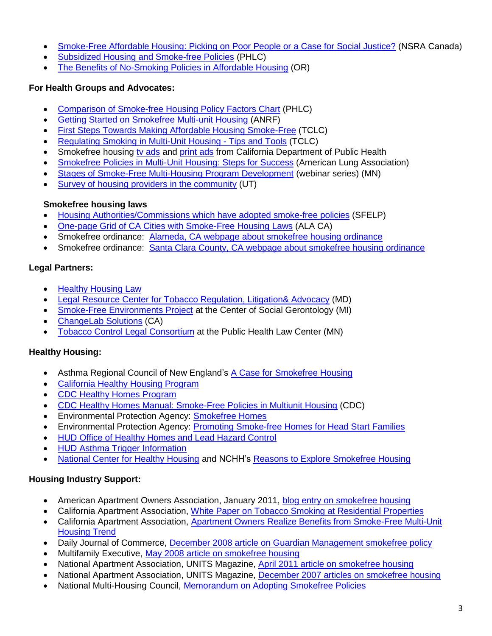- [Smoke-Free Affordable Housing: Picking on Poor People or a Case for Social Justice?](http://www.smokefreehousingny.org/wordpress/wp-content/uploads/Case-for-Social-Justice.pdf) (NSRA Canada)
- [Subsidized Housing and Smoke-free Policies](http://www.publichealthlawcenter.org/sites/default/files/resources/ship-fs-subsidizedhousing-2011.pdf) (PHLC)
- [The Benefits of No-Smoking Policies in Affordable Housing](http://www.smokefreehousinginfo.com/pdfs-docs/BENEFITSofNo-SmokingPolicies.pdf) (OR)

#### **For Health Groups and Advocates:**

- [Comparison of Smoke-free Housing Policy Factors Chart](http://www.publichealthlawcenter.org/sites/default/files/resources/phlc-fs-sfreehousing-comparisonchart-2010.pdf) (PHLC)
- [Getting Started on Smokefree Multi-unit Housing](https://no-smoke.org/getting-started-smokefree-multi-family-housing/) (ANRF)
- [First Steps Towards Making Affordable Housing](http://www.publichealthlawcenter.org/sites/default/files/resources/tclc-fs-firststeps-affordablehousing-smokefree-2012.pdf) Smoke-Free (TCLC)
- [Regulating Smoking in Multi-Unit Housing -](http://www.publichealthlawcenter.org/sites/default/files/resources/tclc-guide-regulatingsmoking-multiunits-2011_0.pdf) Tips and Tools (TCLC)
- Smokefree housing [tv ads](http://tobaccofreeca.com/ads/tv/) and [print ads](http://tobaccofreeca.com/ads/print/) from California Department of Public Health
- [Smokefree Policies in Multi-Unit Housing: Steps for Success](http://www.lung.org/smokefreehousing) (American Lung Association)
- [Stages of Smoke-Free Multi-Housing Program Development](http://www.mnsmokefreehousing.org/webinar/index.html) (webinar series) (MN)
- [Survey of housing providers in the community](http://www.no-smoke.org/pdf/UtahMUHmanagementInterview.pdf) (UT)

# **Smokefree housing laws**

- [Housing Authorities/Commissions which have adopted smoke-free policies](http://www.tcsg.org/sfelp/SFHousingAuthorities.pdf) (SFELP)
- [One-page Grid of CA Cities with Smoke-Free Housing Laws](http://www.casmokefreehousing.org/documents/2011_Jan_Policy_Grid_SmFrHousing.pdf) (ALA CA)
- Smokefree ordinance: [Alameda, CA webpage about smokefree housing ordinance](http://www.cityofalamedaca.gov/Residents/Secondhand-Smoke-Policies)
- Smokefree ordinance: [Santa Clara County, CA webpage about smokefree housing ordinance](http://www.sccgov.org/sites/sccphd/en-us/Partners/TobaccoPrevention/Pages/MultiUnit.aspx)

# **Legal Partners:**

- **[Healthy Housing Law](http://healthyhousinglaw.com/secondhand-smoke/)**
- Legal Resource Center [for Tobacco Regulation, Litigation& Advocacy](http://www.law.umaryland.edu/programs/tobacco/) (MD)
- [Smoke-Free Environments Project](http://www.tcsg.org/sfelp/home.htm) at the Center of Social Gerontology (MI)
- [ChangeLab Solutions](http://changelabsolutions.org/tobacco-control) (CA)
- [Tobacco Control Legal Consortium](http://www.publichealthlawcenter.org/topics/tobacco-control/smoking-regulation/housing) at the Public Health Law Center (MN)

# **Healthy Housing:**

- Asthma Regional Council of New England's [A Case for Smokefree Housing](http://asthmaregionalcouncil.org/uploads/Healthy%20Homes/SmokeFreePaperFINALcolor.pdf.pdf)
- [California Healthy Housing Program](http://www.californiabreathing.org/about-us/projects-initiatives/181-cdcp-hhp)
- [CDC Healthy Homes Program](http://www.cdc.gov/healthyhomes/)
- [CDC Healthy Homes Manual: Smoke-Free Policies in Multiunit Housing](http://www.cdc.gov/healthyhomes/Healthy_Homes_Manual_WEB.pdf) (CDC)
- Environmental Protection Agency: [Smokefree Homes](file://///server/word/FILES/Liz/Apartments_Housing/Smokefree%20Homes)
- Environmental Protection Agency: [Promoting Smoke-free Homes for Head Start Families](http://www.epa.gov/iaq/headstart/headstart_mou.html)
- [HUD Office of Healthy Homes and Lead Hazard Control](http://portal.hud.gov/hudportal/HUD?src=/program_offices/healthy_homes/smokefree)
- **[HUD Asthma Trigger Information](http://portal.hud.gov/hudportal/HUD?src=/program_offices/healthy_homes/healthyhomes/asthma)**
- [National Center for Healthy Housing](http://www.nchh.org/) and NCHH's [Reasons to Explore Smokefree Housing](https://nchh.org/resource/fact-sheet_green-and-hh_reasons-to-explore-smoke-free-housing/)

# **Housing Industry Support:**

- American Apartment Owners Association, January 2011, [blog entry on smokefree housing](http://www.njgasp.org/AAOA-2314379.pdf)
- California Apartment Association, [White Paper on Tobacco Smoking at Residential Properties](http://www.naylornetwork.com/CAA-NWL/assets/documents2/smoking39.pdf)
- California Apartment Association, [Apartment Owners Realize Benefits from Smoke-Free Multi-Unit](http://www.caanet.org/WorkArea/DownloadAsset.aspx?id=1486)  [Housing Trend](http://www.caanet.org/WorkArea/DownloadAsset.aspx?id=1486)
- Daily Journal of Commerce, [December 2008 article on Guardian Management smokefree policy](http://www.smokefreehousinginfo.com/pdfs-docs/NewsArticles&Newsletters/Daily%20Commerce%20Journal%2012.01.08.pdf)
- Multifamily Executive, [May 2008 article on smokefree housing](http://www.multifamilyexecutive.com/development/up-in-smokemultifamily-properties-institute-smoki.aspx)
- National Apartment Association, UNITS Magazine, [April 2011 article on smokefree housing](http://www.naahq.org/publications/units/2011/04_11/Pages/ABreathofFreshAir.aspx)
- National Apartment Association, UNITS Magazine, December 2007 [articles on smokefree housing](http://www.tcsg.org/sfelp/UnitsDec2007.pdf)
- National Multi-Housing Council, [Memorandum on Adopting Smokefree Policies](http://www.tcsg.org/sfelp/S-F_NMHC.pdf)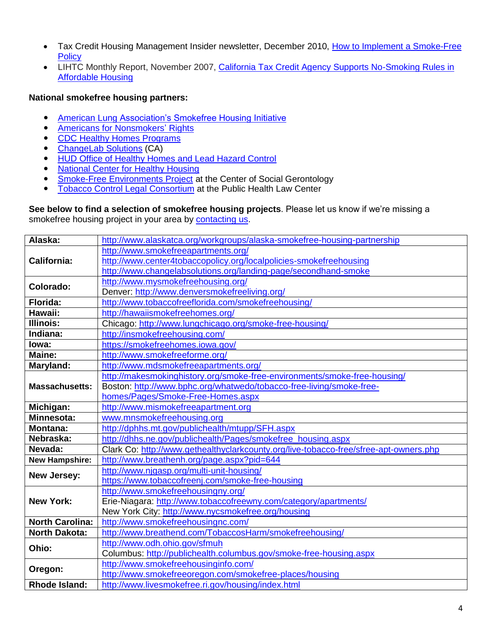- Tax Credit Housing Management Insider newsletter, December 2010, [How to Implement a Smoke-Free](http://www.njgasp.org/Tax_Credit_Housing_Mgmt_Insider_Dec_2010.pdf)  **[Policy](http://www.njgasp.org/Tax_Credit_Housing_Mgmt_Insider_Dec_2010.pdf)**
- LIHTC Monthly Report, November 2007, California Tax Credit Agency Supports No-Smoking Rules in [Affordable Housing](http://www.smokefreeapartments.org/Registry_Pix/Jack%20Nichol%27s%20Article.pdf)

#### **National smokefree housing partners:**

- [American Lung Association's Smokefree Housing Initiative](http://www.lung.org/stop-smoking/about-smoking/smokefree-housing.html)
- **Americans for [Nonsmokers' Rights](https://nonsmokersrights.org/)**
- [CDC Healthy Homes Programs](http://www.cdc.gov/HealthyHomes/)
- [ChangeLab Solutions](http://changelabsolutions.org/tobacco-control) (CA)
- [HUD Office of Healthy Homes and Lead Hazard Control](http://portal.hud.gov/hudportal/HUD?src=/program_offices/healthy_homes/smokefree)
- [National Center for Healthy Housing](http://www.nchh.org/)
- **[Smoke-Free Environments Project](http://www.tcsg.org/sfelp/home.htm) at the Center of Social Gerontology**
- [Tobacco Control Legal Consortium](http://www.publichealthlawcenter.org/topics/tobacco-control/smoking-regulation/housing) at the Public Health Law Center

**See below to find a selection of smokefree housing projects**. Please let us know if we're missing a smokefree housing project in your area by [contacting us.](https://no-smoke.org/about-us/contact-us/)

| Alaska:                         | http://www.alaskatca.org/workgroups/alaska-smokefree-housing-partnership                                      |
|---------------------------------|---------------------------------------------------------------------------------------------------------------|
| California:                     | http://www.smokefreeapartments.org/                                                                           |
|                                 | http://www.center4tobaccopolicy.org/localpolicies-smokefreehousing                                            |
|                                 | http://www.changelabsolutions.org/landing-page/secondhand-smoke                                               |
| Colorado:                       | http://www.mysmokefreehousing.org/                                                                            |
|                                 | Denver: http://www.denversmokefreeliving.org/                                                                 |
| <b>Florida:</b>                 | http://www.tobaccofreeflorida.com/smokefreehousing/                                                           |
| Hawaii:                         | http://hawaiismokefreehomes.org/                                                                              |
| <b>Illinois:</b>                | Chicago: http://www.lungchicago.org/smoke-free-housing/                                                       |
| Indiana:                        | http://insmokefreehousing.com/                                                                                |
| lowa:                           | https://smokefreehomes.iowa.gov/                                                                              |
| Maine:                          | http://www.smokefreeforme.org/                                                                                |
| Maryland:                       | http://www.mdsmokefreeapartments.org/                                                                         |
| <b>Massachusetts:</b>           | http://makesmokinghistory.org/smoke-free-environments/smoke-free-housing/                                     |
|                                 | Boston: http://www.bphc.org/whatwedo/tobacco-free-living/smoke-free-                                          |
|                                 | homes/Pages/Smoke-Free-Homes.aspx                                                                             |
| Michigan:                       | http://www.mismokefreeapartment.org                                                                           |
|                                 |                                                                                                               |
| Minnesota:                      | www.mnsmokefreehousing.org                                                                                    |
| <b>Montana:</b>                 | http://dphhs.mt.gov/publichealth/mtupp/SFH.aspx                                                               |
| Nebraska:                       | http://dhhs.ne.gov/publichealth/Pages/smokefree_housing.aspx                                                  |
| Nevada:                         | Clark Co: http://www.gethealthyclarkcounty.org/live-tobacco-free/sfree-apt-owners.php                         |
| <b>New Hampshire:</b>           | http://www.breathenh.org/page.aspx?pid=644                                                                    |
|                                 | http://www.njgasp.org/multi-unit-housing/                                                                     |
| New Jersey:                     | https://www.tobaccofreenj.com/smoke-free-housing                                                              |
|                                 | http://www.smokefreehousingny.org/                                                                            |
| <b>New York:</b>                | Erie-Niagara: http://www.tobaccofreewny.com/category/apartments/                                              |
|                                 | New York City: http://www.nycsmokefree.org/housing                                                            |
| <b>North Carolina:</b>          | http://www.smokefreehousingnc.com/                                                                            |
| <b>North Dakota:</b>            | http://www.breathend.com/TobaccosHarm/smokefreehousing/                                                       |
|                                 | http://www.odh.ohio.gov/sfmuh                                                                                 |
| Ohio:                           | Columbus: http://publichealth.columbus.gov/smoke-free-housing.aspx                                            |
|                                 | http://www.smokefreehousinginfo.com/                                                                          |
| Oregon:<br><b>Rhode Island:</b> | http://www.smokefreeoregon.com/smokefree-places/housing<br>http://www.livesmokefree.ri.gov/housing/index.html |